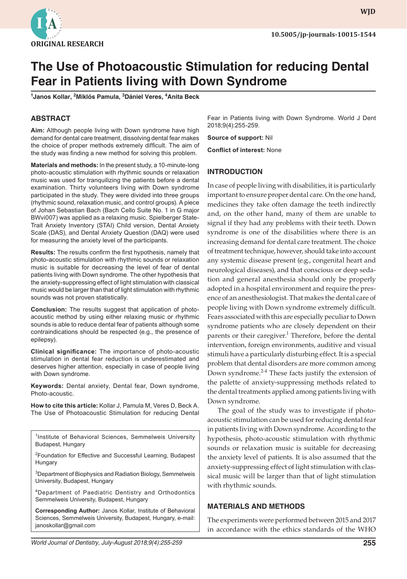

# **The Use of Photoacoustic Stimulation for reducing Dental Fear in Patients living with Down Syndrome**

**1 Janos Kollar, 2 Miklós Pamula, 3 Dániel Veres, <sup>4</sup> Anita Beck**

# **ABSTRACT**

**Aim:** Although people living with Down syndrome have high demand for dental care treatment, dissolving dental fear makes the choice of proper methods extremely difficult. The aim of the study was finding a new method for solving this problem.

**Materials and methods:** In the present study, a 10-minute-long photo-acoustic stimulation with rhythmic sounds or relaxation music was used for tranquilizing the patients before a dental examination. Thirty volunteers living with Down syndrome participated in the study. They were divided into three groups (rhythmic sound, relaxation music, and control groups). A piece of Johan Sebastian Bach (Bach Cello Suite No. 1 in G major BWvi007) was applied as a relaxing music. Spielberger State-Trait Anxiety Inventory (STAI) Child version, Dental Anxiety Scale (DAS), and Dental Anxiety Question (DAQ) were used for measuring the anxiety level of the participants.

**Results:** The results confirm the first hypothesis, namely that photo-acoustic stimulation with rhythmic sounds or relaxation music is suitable for decreasing the level of fear of dental patients living with Down syndrome. The other hypothesis that the anxiety-suppressing effect of light stimulation with classical music would be larger than that of light stimulation with rhythmic sounds was not proven statistically.

**Conclusion:** The results suggest that application of photoacoustic method by using either relaxing music or rhythmic sounds is able to reduce dental fear of patients although some contraindications should be respected (e.g., the presence of epilepsy).

**Clinical significance:** The importance of photo-acoustic stimulation in dental fear reduction is underestimated and deserves higher attention, especially in case of people living with Down syndrome.

**Keywords:** Dental anxiety, Dental fear, Down syndrome, Photo-acoustic.

**How to cite this article:** Kollar J, Pamula M, Veres D, Beck A. The Use of Photoacoustic Stimulation for reducing Dental

<sup>1</sup>Institute of Behavioral Sciences, Semmelweis University Budapest, Hungary

<sup>2</sup> Foundation for Effective and Successful Learning, Budapest Hungary

<sup>3</sup>Department of Biophysics and Radiation Biology, Semmelweis University, Budapest, Hungary

4Department of Paediatric Dentistry and Orthodontics Semmelweis University, Budapest, Hungary

**Corresponding Author:** Janos Kollar, Institute of Behavioral Sciences, Semmelweis University, Budapest, Hungary, e-mail: janoskollar@gmail.com

Fear in Patients living with Down Syndrome. World J Dent 2018;9(4):255-259.

**Source of support:** Nil

**Conflict of interest:** None

## **INTRODUCTION**

In case of people living with disabilities, it is particularly important to ensure proper dental care. On the one hand, medicines they take often damage the teeth indirectly and, on the other hand, many of them are unable to signal if they had any problems with their teeth. Down syndrome is one of the disabilities where there is an increasing demand for dental care treatment. The choice of treatment technique, however, should take into account any systemic disease present (e.g., congenital heart and neurological diseases), and that conscious or deep sedation and general anesthesia should only be properly adopted in a hospital environment and require the presence of an anesthesiologist. That makes the dental care of people living with Down syndrome extremely difficult. Fears associated with this are especially peculiar to Down syndrome patients who are closely dependent on their parents or their caregiver.<sup>1</sup> Therefore, before the dental intervention, foreign environments, auditive and visual stimuli have a particularly disturbing effect. It is a special problem that dental disorders are more common among Down syndrome.<sup>2-4</sup> These facts justify the extension of the palette of anxiety-suppressing methods related to the dental treatments applied among patients living with Down syndrome.

The goal of the study was to investigate if photoacoustic stimulation can be used for reducing dental fear in patients living with Down syndrome. According to the hypothesis, photo-acoustic stimulation with rhythmic sounds or relaxation music is suitable for decreasing the anxiety level of patients. It is also assumed that the anxiety-suppressing effect of light stimulation with classical music will be larger than that of light stimulation with rhythmic sounds.

#### **MATERIALS AND METHODS**

The experiments were performed between 2015 and 2017 in accordance with the ethics standards of the WHO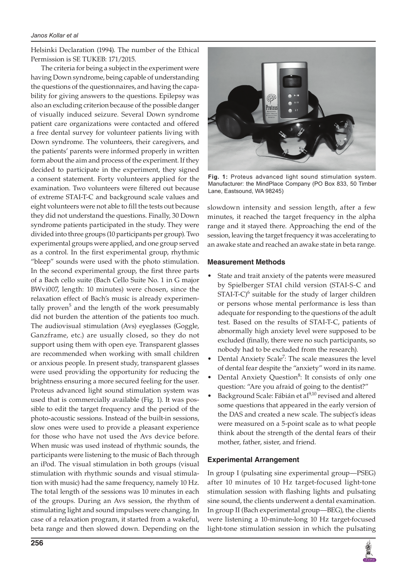Helsinki Declaration (1994). The number of the Ethical Permission is SE TUKEB: 171/2015.

The criteria for being a subject in the experiment were having Down syndrome, being capable of understanding the questions of the questionnaires, and having the capability for giving answers to the questions. Epilepsy was also an excluding criterion because of the possible danger of visually induced seizure. Several Down syndrome patient care organizations were contacted and offered a free dental survey for volunteer patients living with Down syndrome. The volunteers, their caregivers, and the patients' parents were informed properly in written form about the aim and process of the experiment. If they decided to participate in the experiment, they signed a consent statement. Forty volunteers applied for the examination. Two volunteers were filtered out because of extreme STAI-T-C and background scale values and eight volunteers were not able to fill the tests out because they did not understand the questions. Finally, 30 Down syndrome patients participated in the study. They were divided into three groups (10 participants per group). Two experimental groups were applied, and one group served as a control. In the first experimental group, rhythmic "bleep" sounds were used with the photo stimulation. In the second experimental group, the first three parts of a Bach cello suite (Bach Cello Suite No. 1 in G major BWvi007, length: 10 minutes) were chosen, since the relaxation effect of Bach's music is already experimentally proven<sup>5</sup> and the length of the work presumably did not burden the attention of the patients too much. The audiovisual stimulation (Avs) eyeglasses (Goggle, Ganzframe, etc.) are usually closed, so they do not support using them with open eye. Transparent glasses are recommended when working with small children or anxious people. In present study, transparent glasses were used providing the opportunity for reducing the brightness ensuring a more secured feeling for the user. Proteus advanced light sound stimulation system was used that is commercially available (Fig. 1). It was possible to edit the target frequency and the period of the photo-acoustic sessions. Instead of the built-in sessions, slow ones were used to provide a pleasant experience for those who have not used the Avs device before. When music was used instead of rhythmic sounds, the participants were listening to the music of Bach through an iPod. The visual stimulation in both groups (visual stimulation with rhythmic sounds and visual stimulation with music) had the same frequency, namely 10 Hz. The total length of the sessions was 10 minutes in each of the groups. During an Avs session, the rhythm of stimulating light and sound impulses were changing. In case of a relaxation program, it started from a wakeful, beta range and then slowed down. Depending on the



**Fig. 1:** Proteus advanced light sound stimulation system. Manufacturer: the MindPlace Company (PO Box 833, 50 Timber Lane, Eastsound, WA 98245)

slowdown intensity and session length, after a few minutes, it reached the target frequency in the alpha range and it stayed there. Approaching the end of the session, leaving the target frequency it was accelerating to an awake state and reached an awake state in beta range.

## **Measurement Methods**

- State and trait anxiety of the patents were measured by Spielberger STAI child version (STAI-S-C and  $STAT-C$ <sup>6</sup> suitable for the study of larger children or persons whose mental performance is less than adequate for responding to the questions of the adult test. Based on the results of STAI-T-C, patients of abnormally high anxiety level were supposed to be excluded (finally, there were no such participants, so nobody had to be excluded from the research).
- Dental Anxiety Scale<sup>7</sup>: The scale measures the level of dental fear despite the "anxiety" word in its name.
- Dental Anxiety Question<sup>8</sup>: It consists of only one question: "Are you afraid of going to the dentist?"
- Background Scale: Fábián et al<sup>9,10</sup> revised and altered some questions that appeared in the early version of the DAS and created a new scale. The subject's ideas were measured on a 5-point scale as to what people think about the strength of the dental fears of their mother, father, sister, and friend.

# **Experimental Arrangement**

In group I (pulsating sine experimental group—PSEG) after 10 minutes of 10 Hz target-focused light-tone stimulation session with flashing lights and pulsating sine sound, the clients underwent a dental examination. In group II (Bach experimental group—BEG), the clients were listening a 10-minute-long 10 Hz target-focused light-tone stimulation session in which the pulsating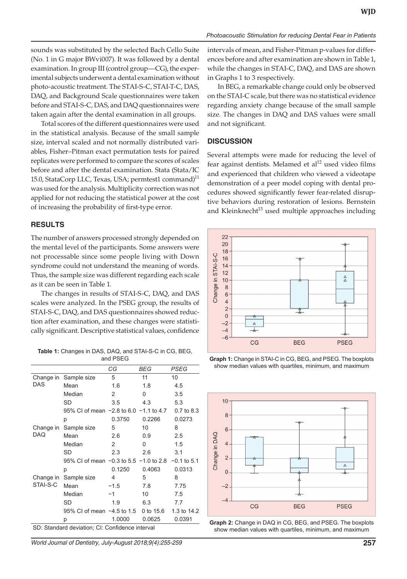sounds was substituted by the selected Bach Cello Suite (No. 1 in G major BWvi007). It was followed by a dental examination. In group III (control group—CG), the experimental subjects underwent a dental examination without photo-acoustic treatment. The STAI-S-C, STAI-T-C, DAS, DAQ, and Background Scale questionnaires were taken before and STAI-S-C, DAS, and DAQ questionnaires were taken again after the dental examination in all groups.

Total scores of the different questionnaires were used in the statistical analysis. Because of the small sample size, interval scaled and not normally distributed variables, Fisher–Pitman exact permutation tests for paired replicates were performed to compare the scores of scales before and after the dental examination. Stata (Stata/IC 15.0, StataCorp LLC, Texas, USA; permtest1 command) $^{11}$ was used for the analysis. Multiplicity correction was not applied for not reducing the statistical power at the cost of increasing the probability of first-type error.

#### **RESULTS**

The number of answers processed strongly depended on the mental level of the participants. Some answers were not processable since some people living with Down syndrome could not understand the meaning of words. Thus, the sample size was different regarding each scale as it can be seen in Table 1.

The changes in results of STAI-S-C, DAQ, and DAS scales were analyzed. In the PSEG group, the results of STAI-S-C, DAQ, and DAS questionnaires showed reduction after examination, and these changes were statistically significant. Descriptive statistical values, confidence

**Table 1:** Changes in DAS, DAQ, and STAI-S-C in CG, BEG, and PSEG

|                                                 |                                                          | СG     | <b>BEG</b> | PSEG        |
|-------------------------------------------------|----------------------------------------------------------|--------|------------|-------------|
| Change in<br><b>DAS</b>                         | Sample size                                              | 5      | 11         | 10          |
|                                                 | Mean                                                     | 1.6    | 1.8        | 4.5         |
|                                                 | Median                                                   | 2      | 0          | 3.5         |
|                                                 | <b>SD</b>                                                | 3.5    | 4.3        | 5.3         |
|                                                 | 95% CI of mean $-2.8$ to 6.0 $-1.1$ to 4.7               |        |            | 0.7 to 8.3  |
|                                                 | р                                                        | 0.3750 | 0.2266     | 0.0273      |
| Change in<br>DAQ                                | Sample size                                              | 5      | 10         | 8           |
|                                                 | Mean                                                     | 2.6    | 0.9        | 2.5         |
|                                                 | Median                                                   | 2      | 0          | 1.5         |
|                                                 | SD                                                       | 2.3    | 2.6        | 3.1         |
|                                                 | 95% CI of mean $-0.3$ to 5.5 $-1.0$ to 2.8 $-0.1$ to 5.1 |        |            |             |
|                                                 | р                                                        | 0.1250 | 0.4063     | 0.0313      |
| Change in<br>STAI-S-C                           | Sample size                                              | 4      | 5          | 8           |
|                                                 | Mean                                                     | $-1.5$ | 7.8        | 7.75        |
|                                                 | Median                                                   | $-1$   | 10         | 7.5         |
|                                                 | SD                                                       | 1.9    | 6.3        | 7.7         |
|                                                 | 95% CI of mean -4.5 to 1.5                               |        | 0 to 15.6  | 1.3 to 14.2 |
|                                                 | р                                                        | 1.0000 | 0.0625     | 0.0391      |
| SD: Standard deviation; CI: Confidence interval |                                                          |        |            |             |

*World Journal of Dentistry, July-August 2018;9(4):255-259* **257**

*Photoacoustic Stimulation for reducing Dental Fear in Patients*

intervals of mean, and Fisher-Pitman p-values for differences before and after examination are shown in Table 1, while the changes in STAI-C, DAQ, and DAS are shown in Graphs 1 to 3 respectively.

In BEG, a remarkable change could only be observed on the STAI-C scale, but there was no statistical evidence regarding anxiety change because of the small sample size. The changes in DAQ and DAS values were small and not significant.

#### **DISCUSSION**

Several attempts were made for reducing the level of fear against dentists. Melamed et  $al<sup>12</sup>$  used video films and experienced that children who viewed a videotape demonstration of a peer model coping with dental procedures showed significantly fewer fear-related disruptive behaviors during restoration of lesions. Bernstein and Kleinknecht<sup>13</sup> used multiple approaches including



**Graph 1:** Change in STAI-C in CG, BEG, and PSEG. The boxplots show median values with quartiles, minimum, and maximum



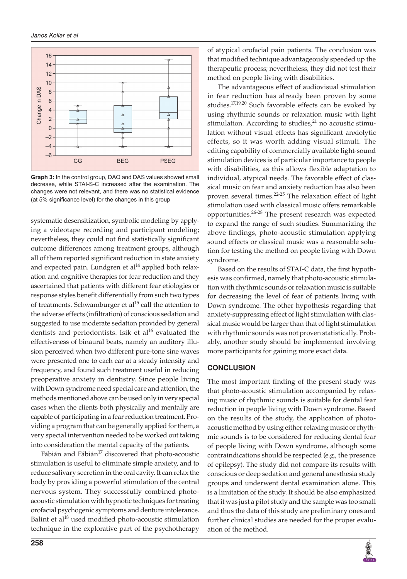

**Graph 3:** In the control group, DAQ and DAS values showed small decrease, while STAI-S-C increased after the examination. The changes were not relevant, and there was no statistical evidence (at 5% significance level) for the changes in this group

systematic desensitization, symbolic modeling by applying a videotape recording and participant modeling; nevertheless, they could not find statistically significant outcome differences among treatment groups, although all of them reported significant reduction in state anxiety and expected pain. Lundgren et al $14$  applied both relaxation and cognitive therapies for fear reduction and they ascertained that patients with different fear etiologies or response styles benefit differentially from such two types of treatments. Schwamburger et  $al^{15}$  call the attention to the adverse effects (infiltration) of conscious sedation and suggested to use moderate sedation provided by general dentists and periodontists. Isik et al<sup>16</sup> evaluated the effectiveness of binaural beats, namely an auditory illusion perceived when two different pure-tone sine waves were presented one to each ear at a steady intensity and frequency, and found such treatment useful in reducing preoperative anxiety in dentistry. Since people living with Down syndrome need special care and attention, the methods mentioned above can be used only in very special cases when the clients both physically and mentally are capable of participating in a fear reduction treatment. Providing a program that can be generally applied for them, a very special intervention needed to be worked out taking into consideration the mental capacity of the patients.

Fábián and Fábián $^{17}$  discovered that photo-acoustic stimulation is useful to eliminate simple anxiety, and to reduce salivary secretion in the oral cavity. It can relax the body by providing a powerful stimulation of the central nervous system. They successfully combined photoacoustic stimulation with hypnotic techniques for treating orofacial psychogenic symptoms and denture intolerance. Balint et al<sup>18</sup> used modified photo-acoustic stimulation technique in the explorative part of the psychotherapy

of atypical orofacial pain patients. The conclusion was that modified technique advantageously speeded up the therapeutic process; nevertheless, they did not test their method on people living with disabilities.

The advantageous effect of audiovisual stimulation in fear reduction has already been proven by some studies.<sup>17,19,20</sup> Such favorable effects can be evoked by using rhythmic sounds or relaxation music with light stimulation. According to studies, $2<sup>1</sup>$  no acoustic stimulation without visual effects has significant anxiolytic effects, so it was worth adding visual stimuli. The editing capability of commercially available light-sound stimulation devices is of particular importance to people with disabilities, as this allows flexible adaptation to individual, atypical needs. The favorable effect of classical music on fear and anxiety reduction has also been proven several times.<sup>22-25</sup> The relaxation effect of light stimulation used with classical music offers remarkable opportunities.26-28 The present research was expected to expand the range of such studies. Summarizing the above findings, photo-acoustic stimulation applying sound effects or classical music was a reasonable solution for testing the method on people living with Down syndrome.

Based on the results of STAI-C data, the first hypothesis was confirmed, namely that photo-acoustic stimulation with rhythmic sounds or relaxation music is suitable for decreasing the level of fear of patients living with Down syndrome. The other hypothesis regarding that anxiety-suppressing effect of light stimulation with classical music would be larger than that of light stimulation with rhythmic sounds was not proven statistically. Probably, another study should be implemented involving more participants for gaining more exact data.

#### **CONCLUSION**

The most important finding of the present study was that photo-acoustic stimulation accompanied by relaxing music of rhythmic sounds is suitable for dental fear reduction in people living with Down syndrome. Based on the results of the study, the application of photoacoustic method by using either relaxing music or rhythmic sounds is to be considered for reducing dental fear of people living with Down syndrome, although some contraindications should be respected (e.g., the presence of epilepsy). The study did not compare its results with conscious or deep sedation and general anesthesia study groups and underwent dental examination alone. This is a limitation of the study. It should be also emphasized that it was just a pilot study and the sample was too small and thus the data of this study are preliminary ones and further clinical studies are needed for the proper evaluation of the method.